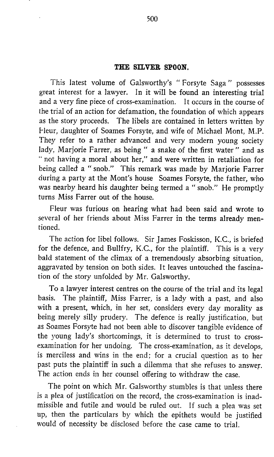## THE SILVER SPOON.

This latest volume of Galsworthy's " Forsyte Saga " possesses great interest for a lawyer. In it will be found an interesting trial and a very fine piece of cross-examination. It occurs in the course of the trial of an action for defamation, the foundation of which appears as the story proceeds. The libels are contained in letters written by Fleur, daughter of Soames Forsyte, and wife of Michael Mont, M.P. They refer to <sup>a</sup> rather advanced and very modern young society lady, Marjorie Farrer, as being " a snake of the first water " and as " not having a moral about her," and were written in retaliation for being called <sup>a</sup> " snob." This remark was made by Marjorie Farrer during a party at the Mont's house Soames Forsyte, the father, who was nearby heard his daughter being termed a " snob." He promptly turns Miss Farrer out of the house.

Fleur was furious on hearing what had been said and wrote to several of her friends about Miss Farrer in the terms already mentioned.

The action for libel follows. Sir James Foskisson, K.C., is briefed for the defence, and Bullfry, K.C., for the plaintiff. This is <sup>a</sup> very bald statement of the climax of a tremendously absorbing situation, aggravated by tension on both sides. It leaves untouched the fascination of the story unfolded by Mr. Galsworthy.

To a lawyer interest centres on the course of the trial and its legal basis. The plaintiff, Miss Farrer, is <sup>a</sup> lady with a past, and also with a present, which, in her set, considers every day morality as being merely silly prudery. The defence is really justification, but as Soames Forsyte had not been able to discover tangible evidence of the young lady's shortcomings, it is determined to trust to crossexamination for her undoing. The cross-examination, as it develops, is merciless and wins in the end; for a crucial question as to her past puts the plaintiff in such a dilemma that she refuses to answer. The action ends in her counsel offering to withdraw the case.

The point on which Mr. Galsworthy stumbles is that unless there is a plea of justification on the record, the cross-examination is inadmissible and futile and would be ruled out. If such a plea was set up, then the particulars by which the epithets would be justified would of necessity be disclosed before the case came to trial .